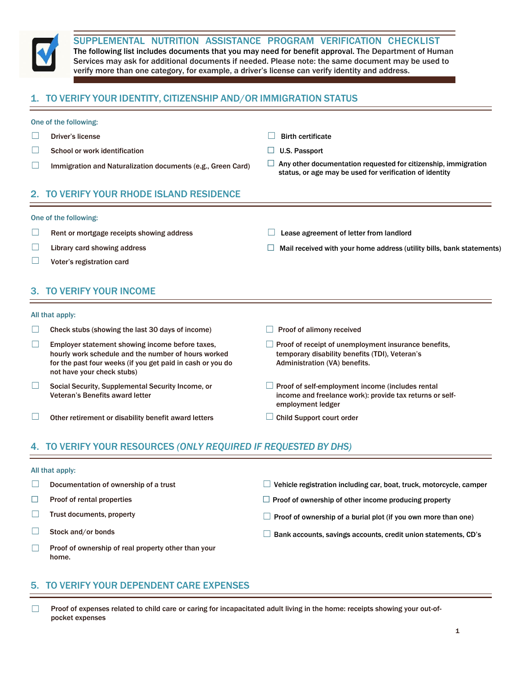

SUPPLEMENTAL NUTRITION ASSISTANCE PROGRAM VERIFICATION CHECKLIST

The following list includes documents that you may need for benefit approval. The Department of Human Services may ask for additional documents if needed. Please note: the same document may be used to verify more than one category, for example, a driver's license can verify identity and address.

# 1. TO VERIFY YOUR IDENTITY, CITIZENSHIP AND/OR IMMIGRATION STATUS

### One of the following:

- ☐ Driver's license ☐ Birth certificate
- ☐ School or work identification ☐ U.S. Passport
- 
- 
- 
- □ Immigration and Naturalization documents (e.g., Green Card) □ Any other documentation requested for citizenship, immigration status, or age may be used for verification of identity

## 2. TO VERIFY YOUR RHODE ISLAND RESIDENCE

### One of the following:

- ☐ Rent or mortgage receipts showing address ☐ Lease agreement of letter from landlord
- ☐ Library card showing address ☐ Mail received with your home address (utility bills, bank statements)
- ☐ Voter's registration card

### 3. TO VERIFY YOUR INCOME

### All that apply:

- $\Box$  Check stubs (showing the last 30 days of income)  $\Box$  Proof of alimony received
- $\Box$  Employer statement showing income before taxes, hourly work schedule and the number of hours worked for the past four weeks (if you get paid in cash or you do not have your check stubs)
- ☐ Social Security, Supplemental Security Income, or Veteran's Benefits award letter
- $□$  Other retirement or disability benefit award letters  $□$  Child Support court order
- 
- $\Box$  Proof of receipt of unemployment insurance benefits, temporary disability benefits (TDI), Veteran's Administration (VA) benefits.
- $\Box$  Proof of self-employment income (includes rental income and freelance work): provide tax returns or selfemployment ledger
- 

## 4. TO VERIFY YOUR RESOURCES *(ONLY REQUIRED IF REQUESTED BY DHS)*

### All that apply:

- ☐ Documentation of ownership of a trust ☐ Vehicle registration including car, boat, truck, motorcycle, camper
- ☐ Proof of rental properties ☐ Proof of ownership of other income producing property
- 
- 
- 
- 
- ☐ Trust documents, property ☐ Proof of ownership of <sup>a</sup> burial plot (if you own more than one)
- ☐ Stock and/or bonds ☐ Bank accounts, savings accounts, credit union statements, CD's
- □ Proof of ownership of real property other than your home.

### 5. TO VERIFY YOUR DEPENDENT CARE EXPENSES

 $□$  Proof of expenses related to child care or caring for incapacitated adult living in the home: receipts showing your out-ofpocket expenses